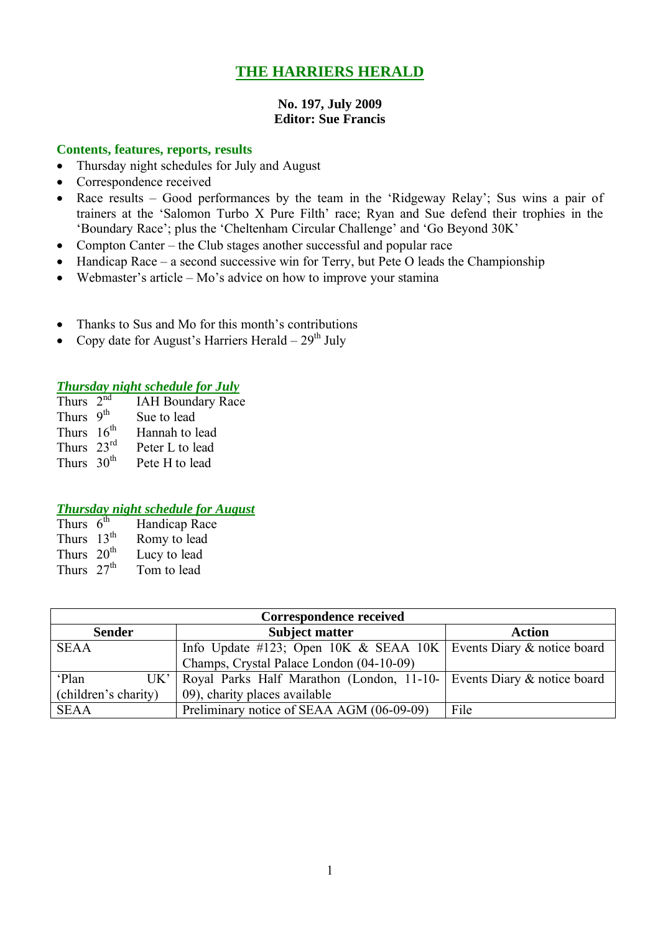# **THE HARRIERS HERALD**

### **No. 197, July 2009 Editor: Sue Francis**

### **Contents, features, reports, results**

- Thursday night schedules for July and August
- Correspondence received
- Race results Good performances by the team in the 'Ridgeway Relay'; Sus wins a pair of trainers at the 'Salomon Turbo X Pure Filth' race; Ryan and Sue defend their trophies in the 'Boundary Race'; plus the 'Cheltenham Circular Challenge' and 'Go Beyond 30K'
- Compton Canter the Club stages another successful and popular race
- Handicap Race a second successive win for Terry, but Pete O leads the Championship
- Webmaster's article Mo's advice on how to improve your stamina
- Thanks to Sus and Mo for this month's contributions
- Copy date for August's Harriers Herald  $29<sup>th</sup>$  July

## *Thursday night schedule for July*

- Thurs  $2<sup>nd</sup>$ IAH Boundary Race
- Thurs 9<sup>th</sup> Sue to lead
- Thurs  $16^{th}$  Hannah to lead<br>Thurs  $23^{rd}$  Peter L to lead Thurs  $23<sup>rd</sup>$ <br>Thurs  $30<sup>th</sup>$ Pete H to lead

# *Thursday night schedule for August*

| Thurs $6^{\text{th}}$ | Handicap Race |
|-----------------------|---------------|
| Thurs $13th$          | Romy to lead  |
| Thurs $20th$          | Lucy to lead  |
| Thurs $27th$          | Tom to lead   |

| <b>Correspondence received</b>           |                                                                         |               |  |  |  |  |  |
|------------------------------------------|-------------------------------------------------------------------------|---------------|--|--|--|--|--|
| <b>Sender</b>                            | <b>Subject matter</b>                                                   | <b>Action</b> |  |  |  |  |  |
| <b>SEAA</b>                              | Info Update #123; Open 10K & SEAA 10K Events Diary & notice board       |               |  |  |  |  |  |
| Champs, Crystal Palace London (04-10-09) |                                                                         |               |  |  |  |  |  |
| 'Plan<br>UK'                             | Royal Parks Half Marathon (London, 11-10-   Events Diary & notice board |               |  |  |  |  |  |
| (children's charity)                     | 09), charity places available                                           |               |  |  |  |  |  |
| <b>SEAA</b>                              | Preliminary notice of SEAA AGM (06-09-09)                               | File          |  |  |  |  |  |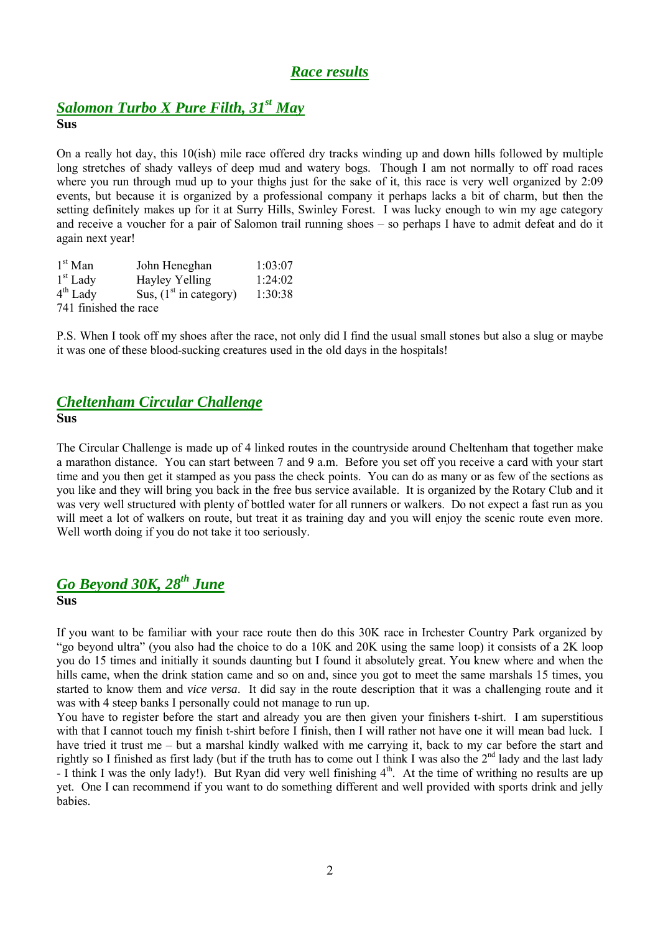# *Race results*

# *Salomon Turbo X Pure Filth, 31st May*

**Sus**

On a really hot day, this 10(ish) mile race offered dry tracks winding up and down hills followed by multiple long stretches of shady valleys of deep mud and watery bogs. Though I am not normally to off road races where you run through mud up to your thighs just for the sake of it, this race is very well organized by 2:09 events, but because it is organized by a professional company it perhaps lacks a bit of charm, but then the setting definitely makes up for it at Surry Hills, Swinley Forest. I was lucky enough to win my age category and receive a voucher for a pair of Salomon trail running shoes – so perhaps I have to admit defeat and do it again next year!

| $1st$ Man             | John Heneghan            | 1:03:07 |
|-----------------------|--------------------------|---------|
| $1st$ Lady            | Hayley Yelling           | 1:24:02 |
| $4th$ Lady            | Sus, $(1st$ in category) | 1:30:38 |
| 741 finished the race |                          |         |

P.S. When I took off my shoes after the race, not only did I find the usual small stones but also a slug or maybe it was one of these blood-sucking creatures used in the old days in the hospitals!

# *Cheltenham Circular Challenge*

**Sus**

The Circular Challenge is made up of 4 linked routes in the countryside around Cheltenham that together make a marathon distance. You can start between 7 and 9 a.m. Before you set off you receive a card with your start time and you then get it stamped as you pass the check points. You can do as many or as few of the sections as you like and they will bring you back in the free bus service available. It is organized by the Rotary Club and it was very well structured with plenty of bottled water for all runners or walkers. Do not expect a fast run as you will meet a lot of walkers on route, but treat it as training day and you will enjoy the scenic route even more. Well worth doing if you do not take it too seriously.

# *Go Beyond 30K, 28th June*

### **Sus**

If you want to be familiar with your race route then do this 30K race in Irchester Country Park organized by "go beyond ultra" (you also had the choice to do a 10K and 20K using the same loop) it consists of a 2K loop you do 15 times and initially it sounds daunting but I found it absolutely great. You knew where and when the hills came, when the drink station came and so on and, since you got to meet the same marshals 15 times, you started to know them and *vice versa*. It did say in the route description that it was a challenging route and it was with 4 steep banks I personally could not manage to run up.

You have to register before the start and already you are then given your finishers t-shirt. I am superstitious with that I cannot touch my finish t-shirt before I finish, then I will rather not have one it will mean bad luck. I have tried it trust me – but a marshal kindly walked with me carrying it, back to my car before the start and rightly so I finished as first lady (but if the truth has to come out I think I was also the  $2<sup>nd</sup>$  lady and the last lady - I think I was the only lady!). But Ryan did very well finishing  $4<sup>th</sup>$ . At the time of writhing no results are up yet. One I can recommend if you want to do something different and well provided with sports drink and jelly babies.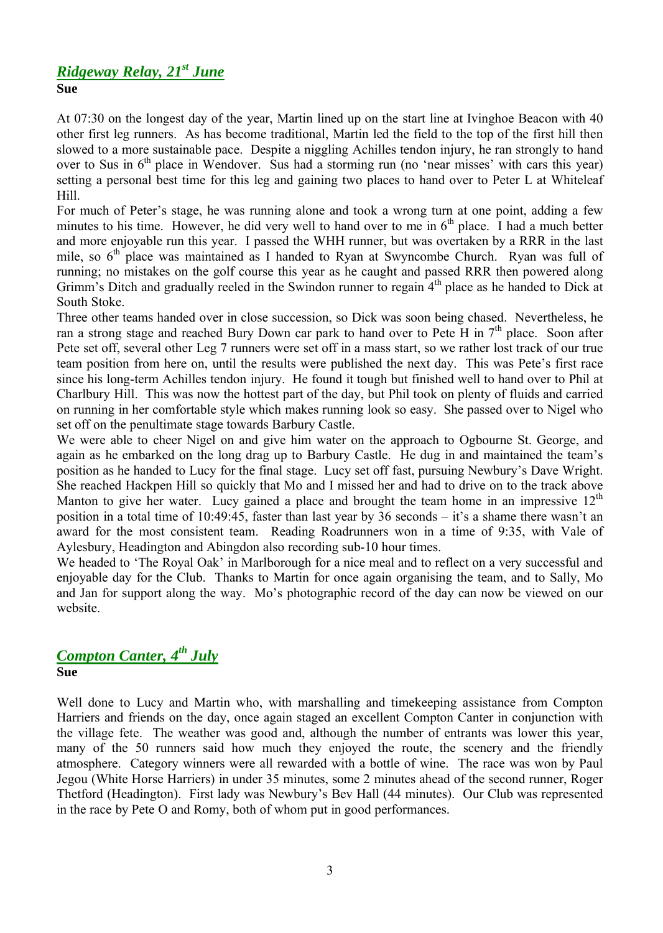# *Ridgeway Relay, 21st June* **Sue**

At 07:30 on the longest day of the year, Martin lined up on the start line at Ivinghoe Beacon with 40 other first leg runners. As has become traditional, Martin led the field to the top of the first hill then slowed to a more sustainable pace. Despite a niggling Achilles tendon injury, he ran strongly to hand over to Sus in  $6<sup>th</sup>$  place in Wendover. Sus had a storming run (no 'near misses' with cars this year) setting a personal best time for this leg and gaining two places to hand over to Peter L at Whiteleaf Hill.

For much of Peter's stage, he was running alone and took a wrong turn at one point, adding a few minutes to his time. However, he did very well to hand over to me in  $6<sup>th</sup>$  place. I had a much better and more enjoyable run this year. I passed the WHH runner, but was overtaken by a RRR in the last mile, so 6<sup>th</sup> place was maintained as I handed to Ryan at Swyncombe Church. Ryan was full of running; no mistakes on the golf course this year as he caught and passed RRR then powered along Grimm's Ditch and gradually reeled in the Swindon runner to regain 4<sup>th</sup> place as he handed to Dick at South Stoke.

Three other teams handed over in close succession, so Dick was soon being chased. Nevertheless, he ran a strong stage and reached Bury Down car park to hand over to Pete H in  $7<sup>th</sup>$  place. Soon after Pete set off, several other Leg 7 runners were set off in a mass start, so we rather lost track of our true team position from here on, until the results were published the next day. This was Pete's first race since his long-term Achilles tendon injury. He found it tough but finished well to hand over to Phil at Charlbury Hill. This was now the hottest part of the day, but Phil took on plenty of fluids and carried on running in her comfortable style which makes running look so easy. She passed over to Nigel who set off on the penultimate stage towards Barbury Castle.

We were able to cheer Nigel on and give him water on the approach to Ogbourne St. George, and again as he embarked on the long drag up to Barbury Castle. He dug in and maintained the team's position as he handed to Lucy for the final stage. Lucy set off fast, pursuing Newbury's Dave Wright. She reached Hackpen Hill so quickly that Mo and I missed her and had to drive on to the track above Manton to give her water. Lucy gained a place and brought the team home in an impressive  $12<sup>th</sup>$ position in a total time of 10:49:45, faster than last year by 36 seconds – it's a shame there wasn't an award for the most consistent team. Reading Roadrunners won in a time of 9:35, with Vale of Aylesbury, Headington and Abingdon also recording sub-10 hour times.

We headed to 'The Royal Oak' in Marlborough for a nice meal and to reflect on a very successful and enjoyable day for the Club. Thanks to Martin for once again organising the team, and to Sally, Mo and Jan for support along the way. Mo's photographic record of the day can now be viewed on our website.

# *Compton Canter, 4 th July*

## **Sue**

Well done to Lucy and Martin who, with marshalling and timekeeping assistance from Compton Harriers and friends on the day, once again staged an excellent Compton Canter in conjunction with the village fete. The weather was good and, although the number of entrants was lower this year, many of the 50 runners said how much they enjoyed the route, the scenery and the friendly atmosphere. Category winners were all rewarded with a bottle of wine. The race was won by Paul Jegou (White Horse Harriers) in under 35 minutes, some 2 minutes ahead of the second runner, Roger Thetford (Headington). First lady was Newbury's Bev Hall (44 minutes). Our Club was represented in the race by Pete O and Romy, both of whom put in good performances.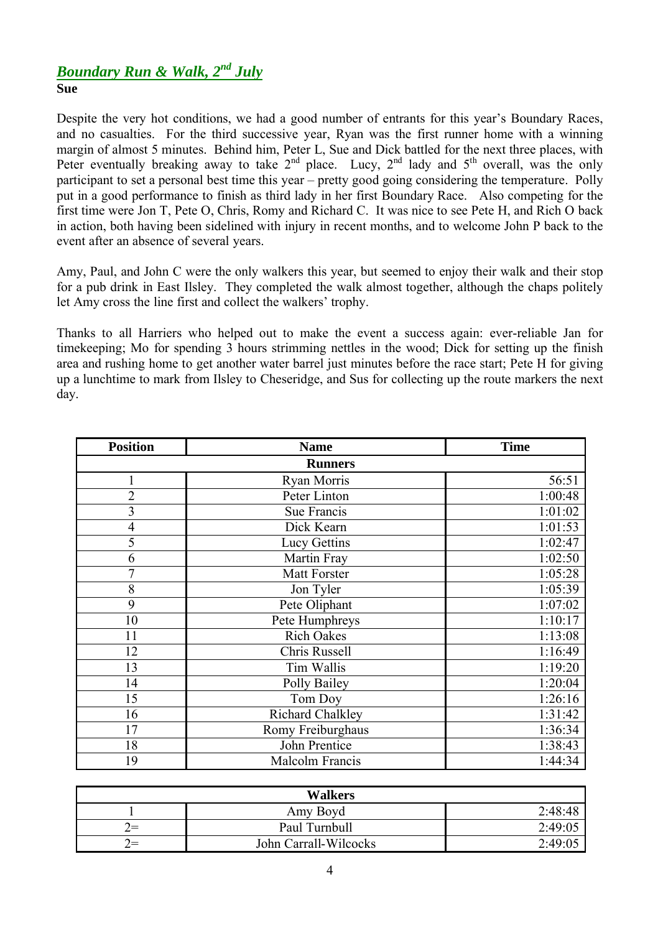# *Boundary Run & Walk, 2 nd July* **Sue**

Despite the very hot conditions, we had a good number of entrants for this year's Boundary Races, and no casualties. For the third successive year, Ryan was the first runner home with a winning margin of almost 5 minutes. Behind him, Peter L, Sue and Dick battled for the next three places, with Peter eventually breaking away to take  $2<sup>nd</sup>$  place. Lucy,  $2<sup>nd</sup>$  lady and  $5<sup>th</sup>$  overall, was the only participant to set a personal best time this year – pretty good going considering the temperature. Polly put in a good performance to finish as third lady in her first Boundary Race. Also competing for the first time were Jon T, Pete O, Chris, Romy and Richard C. It was nice to see Pete H, and Rich O back in action, both having been sidelined with injury in recent months, and to welcome John P back to the event after an absence of several years.

Amy, Paul, and John C were the only walkers this year, but seemed to enjoy their walk and their stop for a pub drink in East Ilsley. They completed the walk almost together, although the chaps politely let Amy cross the line first and collect the walkers' trophy.

Thanks to all Harriers who helped out to make the event a success again: ever-reliable Jan for timekeeping; Mo for spending 3 hours strimming nettles in the wood; Dick for setting up the finish area and rushing home to get another water barrel just minutes before the race start; Pete H for giving up a lunchtime to mark from Ilsley to Cheseridge, and Sus for collecting up the route markers the next day.

| <b>Position</b> | <b>Name</b>         |         |  |  |  |  |  |
|-----------------|---------------------|---------|--|--|--|--|--|
| <b>Runners</b>  |                     |         |  |  |  |  |  |
|                 | Ryan Morris         | 56:51   |  |  |  |  |  |
| $\overline{2}$  | Peter Linton        | 1:00:48 |  |  |  |  |  |
| 3               | Sue Francis         | 1:01:02 |  |  |  |  |  |
| $\overline{4}$  | Dick Kearn          | 1:01:53 |  |  |  |  |  |
| 5               | <b>Lucy Gettins</b> | 1:02:47 |  |  |  |  |  |
| 6               | Martin Fray         | 1:02:50 |  |  |  |  |  |
| 7               | <b>Matt Forster</b> | 1:05:28 |  |  |  |  |  |
| 8               | Jon Tyler           | 1:05:39 |  |  |  |  |  |
| 9               | Pete Oliphant       | 1:07:02 |  |  |  |  |  |
| 10              | Pete Humphreys      | 1:10:17 |  |  |  |  |  |
| 11              | <b>Rich Oakes</b>   | 1:13:08 |  |  |  |  |  |
| 12              | Chris Russell       | 1:16:49 |  |  |  |  |  |
| 13              | Tim Wallis          | 1:19:20 |  |  |  |  |  |
| 14              | Polly Bailey        | 1:20:04 |  |  |  |  |  |
| 15              | Tom Doy             | 1:26:16 |  |  |  |  |  |
| 16              | Richard Chalkley    | 1:31:42 |  |  |  |  |  |
| 17              | Romy Freiburghaus   | 1:36:34 |  |  |  |  |  |
| 18              | John Prentice       | 1:38:43 |  |  |  |  |  |
| 19              | Malcolm Francis     | 1:44:34 |  |  |  |  |  |

| <b>Walkers</b>         |                       |         |  |  |  |  |
|------------------------|-----------------------|---------|--|--|--|--|
|                        | Amy Boyd              | 2:48:48 |  |  |  |  |
| $\scriptstyle\prime =$ | Paul Turnbull         | 2:49:05 |  |  |  |  |
| $\prime =$             | John Carrall-Wilcocks | 2:49:05 |  |  |  |  |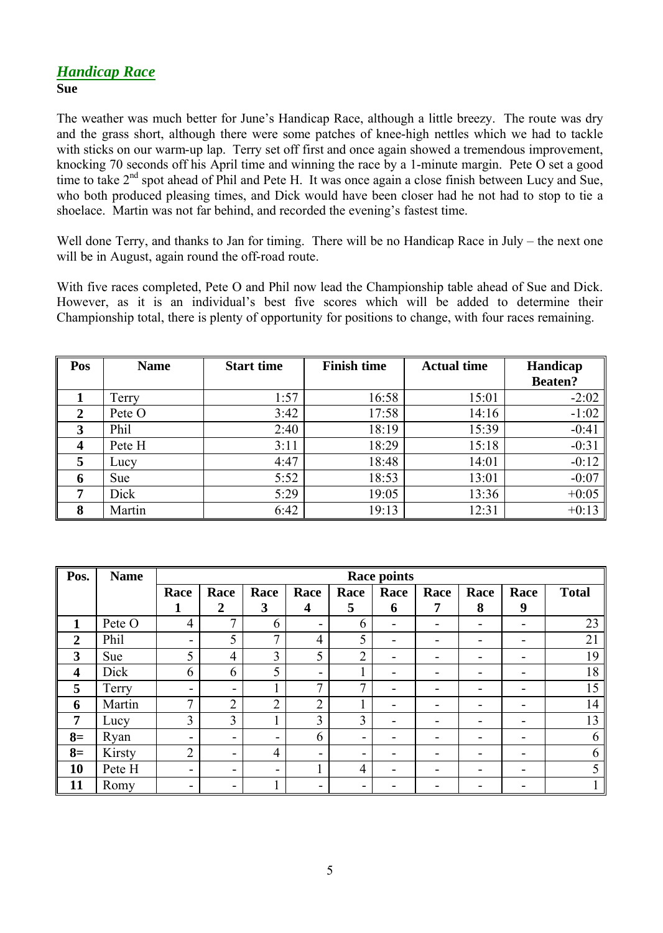# *Handicap Race* **Sue**

The weather was much better for June's Handicap Race, although a little breezy. The route was dry and the grass short, although there were some patches of knee-high nettles which we had to tackle with sticks on our warm-up lap. Terry set off first and once again showed a tremendous improvement, knocking 70 seconds off his April time and winning the race by a 1-minute margin. Pete O set a good time to take 2<sup>nd</sup> spot ahead of Phil and Pete H. It was once again a close finish between Lucy and Sue, who both produced pleasing times, and Dick would have been closer had he not had to stop to tie a shoelace. Martin was not far behind, and recorded the evening's fastest time.

Well done Terry, and thanks to Jan for timing. There will be no Handicap Race in July – the next one will be in August, again round the off-road route.

With five races completed, Pete O and Phil now lead the Championship table ahead of Sue and Dick. However, as it is an individual's best five scores which will be added to determine their Championship total, there is plenty of opportunity for positions to change, with four races remaining.

| Pos | <b>Name</b> | <b>Start time</b> | <b>Finish time</b> | <b>Actual time</b> | Handicap       |  |
|-----|-------------|-------------------|--------------------|--------------------|----------------|--|
|     |             |                   |                    |                    | <b>Beaten?</b> |  |
|     | Terry       | 1:57              | 16:58              | 15:01              | $-2:02$        |  |
| 2   | Pete O      | 3:42              | 17:58              | 14:16              | $-1:02$        |  |
| 3   | Phil        | 2:40              | 18:19              | 15:39              | $-0:41$        |  |
| 4   | Pete H      | 3:11              | 18:29              | 15:18              | $-0:31$        |  |
| 5   | Lucy        | 4:47              | 18:48              | 14:01              | $-0:12$        |  |
| 6   | Sue         | 5:52              | 18:53              | 13:01              | $-0:07$        |  |
| 7   | Dick        | 5:29              | 19:05              | 13:36              | $+0:05$        |  |
| 8   | Martin      | 6:42              | 19:13              | 12:31              | $+0:13$        |  |

| Pos.                    | <b>Name</b> | <b>Race points</b>       |                          |        |                |      |                          |      |      |                          |              |
|-------------------------|-------------|--------------------------|--------------------------|--------|----------------|------|--------------------------|------|------|--------------------------|--------------|
|                         |             | Race                     | Race                     | Race   | Race           | Race | Race                     | Race | Race | Race                     | <b>Total</b> |
|                         |             |                          | $\boldsymbol{2}$         | 3      | 4              | 5    | 6                        | 7    | 8    | 9                        |              |
| 1                       | Pete O      | 4                        | $\mathbf{r}$             | 6      | Ξ.             | 6    | -                        |      |      |                          | 23           |
| $\boldsymbol{2}$        | Phil        | $\blacksquare$           | 5                        | 7      | $\overline{4}$ | 5    | -                        |      |      | ۰                        | 21           |
| 3                       | Sue         | 5                        | $\overline{4}$           | 3      | 5              | ∍    |                          |      |      |                          | 19           |
| $\overline{\mathbf{4}}$ | Dick        | 6                        | 6                        | 5      | -              |      |                          |      |      |                          | 18           |
| 5                       | Terry       | ۰.                       | $\blacksquare$           |        | 7              | 7    |                          |      |      |                          | 15           |
| 6                       | Martin      | 7                        | C<br>∠                   | ◠<br>∠ | ∍<br>∠         |      | $\overline{\phantom{0}}$ |      |      |                          | 14           |
| 7                       | Lucy        | 3                        | $\overline{3}$           |        | 3              | 3    |                          |      |      | ۰                        | 13           |
| $8=$                    | Ryan        | -                        | $\overline{\phantom{a}}$ | -      | 6              | -    |                          |      |      |                          | 6            |
| $8=$                    | Kirsty      | $\overline{2}$           | $\blacksquare$           | 4      | -              | -    |                          |      |      |                          | 6            |
| 10                      | Pete H      | $\overline{\phantom{a}}$ | $\blacksquare$           | -      |                | 4    | -                        |      |      | $\overline{\phantom{a}}$ |              |
| 11                      | Romy        | -                        | -                        |        | -              |      |                          |      |      |                          |              |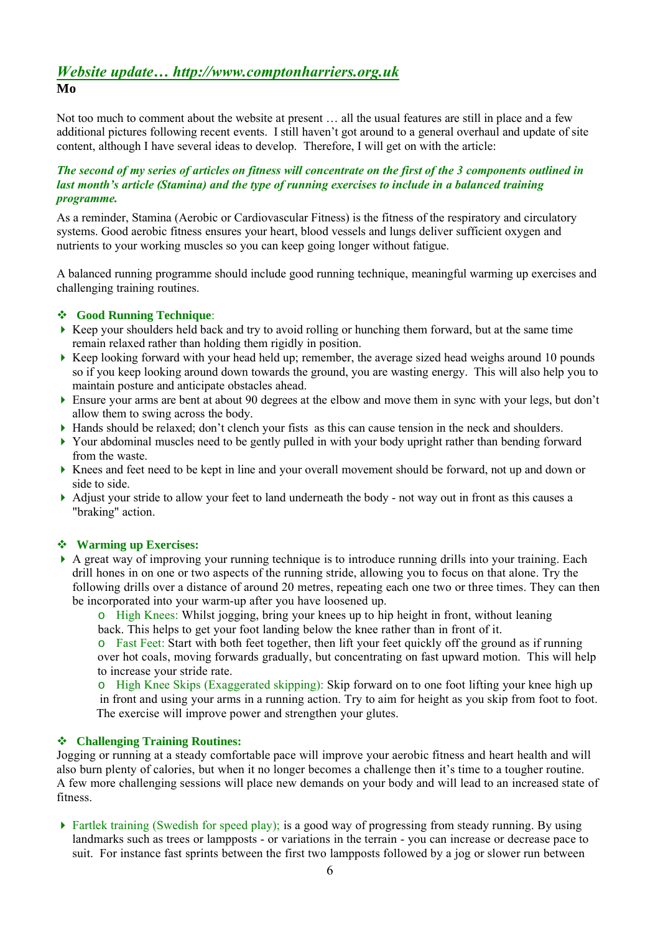# *Website update… http://www.comptonharriers.org.uk* **Mo**

Not too much to comment about the website at present … all the usual features are still in place and a few additional pictures following recent events. I still haven't got around to a general overhaul and update of site content, although I have several ideas to develop. Therefore, I will get on with the article:

### *The second of my series of articles on fitness will concentrate on the first of the 3 components outlined in last month's article (Stamina) and the type of running exercises to include in a balanced training programme.*

As a reminder, Stamina (Aerobic or Cardiovascular Fitness) is the fitness of the respiratory and circulatory systems. Good aerobic fitness ensures your heart, blood vessels and lungs deliver sufficient oxygen and nutrients to your working muscles so you can keep going longer without fatigue.

A balanced running programme should include good running technique, meaningful warming up exercises and challenging training routines.

### **Good Running Technique**:

- Keep your shoulders held back and try to avoid rolling or hunching them forward, but at the same time remain relaxed rather than holding them rigidly in position.
- $\triangleright$  Keep looking forward with your head held up; remember, the average sized head weighs around 10 pounds so if you keep looking around down towards the ground, you are wasting energy. This will also help you to maintain posture and anticipate obstacles ahead.
- Ensure your arms are bent at about 90 degrees at the elbow and move them in sync with your legs, but don't allow them to swing across the body.
- Hands should be relaxed; don't clench your fists as this can cause tension in the neck and shoulders.
- Your abdominal muscles need to be gently pulled in with your body upright rather than bending forward from the waste.
- Knees and feet need to be kept in line and your overall movement should be forward, not up and down or side to side.
- Adjust your stride to allow your feet to land underneath the body not way out in front as this causes a "braking" action.

### **Warming up Exercises:**

- A great way of improving your running technique is to introduce running drills into your training. Each drill hones in on one or two aspects of the running stride, allowing you to focus on that alone. Try the following drills over a distance of around 20 metres, repeating each one two or three times. They can then be incorporated into your warm-up after you have loosened up.
	- o High Knees: Whilst jogging, bring your knees up to hip height in front, without leaning back. This helps to get your foot landing below the knee rather than in front of it.

o Fast Feet: Start with both feet together, then lift your feet quickly off the ground as if running over hot coals, moving forwards gradually, but concentrating on fast upward motion. This will help to increase your stride rate.

o High Knee Skips (Exaggerated skipping): Skip forward on to one foot lifting your knee high up in front and using your arms in a running action. Try to aim for height as you skip from foot to foot. The exercise will improve power and strengthen your glutes.

### **Challenging Training Routines:**

Jogging or running at a steady comfortable pace will improve your aerobic fitness and heart health and will also burn plenty of calories, but when it no longer becomes a challenge then it's time to a tougher routine. A few more challenging sessions will place new demands on your body and will lead to an increased state of fitness.

 Fartlek training (Swedish for speed play); is a good way of progressing from steady running. By using landmarks such as trees or lampposts - or variations in the terrain - you can increase or decrease pace to suit. For instance fast sprints between the first two lampposts followed by a jog or slower run between